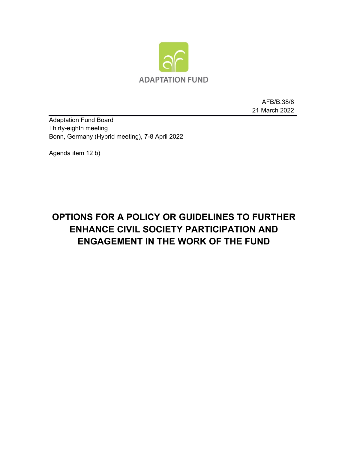

AFB/B.38/8 21 March 2022

Adaptation Fund Board Thirty-eighth meeting Bonn, Germany (Hybrid meeting), 7-8 April 2022

Agenda item 12 b)

# **OPTIONS FOR A POLICY OR GUIDELINES TO FURTHER ENHANCE CIVIL SOCIETY PARTICIPATION AND ENGAGEMENT IN THE WORK OF THE FUND**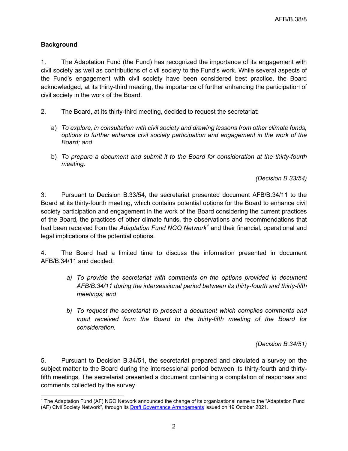## **Background**

1. The Adaptation Fund (the Fund) has recognized the importance of its engagement with civil society as well as contributions of civil society to the Fund's work. While several aspects of the Fund's engagement with civil society have been considered best practice, the Board acknowledged, at its thirty-third meeting, the importance of further enhancing the participation of civil society in the work of the Board.

- 2. The Board, at its thirty-third meeting, decided to request the secretariat:
	- a) *To explore, in consultation with civil society and drawing lessons from other climate funds, options to further enhance civil society participation and engagement in the work of the Board; and*
	- b) *To prepare a document and submit it to the Board for consideration at the thirty-fourth meeting.*

*(Decision B.33/54)*

3. Pursuant to Decision B.33/54, the secretariat presented document AFB/B.34/11 to the Board at its thirty-fourth meeting, which contains potential options for the Board to enhance civil society participation and engagement in the work of the Board considering the current practices of the Board, the practices of other climate funds, the observations and recommendations that had been received from the *Adaptation Fund NGO Network[1](#page-1-0)* and their financial, operational and legal implications of the potential options.

4. The Board had a limited time to discuss the information presented in document AFB/B.34/11 and decided:

- *a) To provide the secretariat with comments on the options provided in document AFB/B.34/11 during the intersessional period between its thirty-fourth and thirty-fifth meetings; and*
- *b) To request the secretariat to present a document which compiles comments and input received from the Board to the thirty-fifth meeting of the Board for consideration.*

*(Decision B.34/51)*

5. Pursuant to Decision B.34/51, the secretariat prepared and circulated a survey on the subject matter to the Board during the intersessional period between its thirty-fourth and thirtyfifth meetings. The secretariat presented a document containing a compilation of responses and comments collected by the survey.

<span id="page-1-0"></span><sup>1</sup> The Adaptation Fund (AF) NGO Network announced the change of its organizational name to the "Adaptation Fund (AF) Civil Society Network", through its [Draft Governance Arrangements](https://af-network.org/sites/default/files/2021-10/Draft%20governance%20arrangements%20AF%20Civil%20Society%20Network.pdf) issued on 19 October 2021.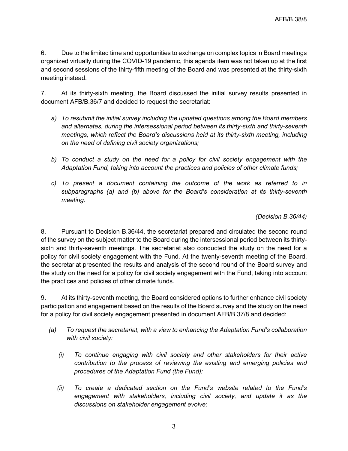6. Due to the limited time and opportunities to exchange on complex topics in Board meetings organized virtually during the COVID-19 pandemic, this agenda item was not taken up at the first and second sessions of the thirty-fifth meeting of the Board and was presented at the thirty-sixth meeting instead.

7. At its thirty-sixth meeting, the Board discussed the initial survey results presented in document AFB/B.36/7 and decided to request the secretariat:

- *a) To resubmit the initial survey including the updated questions among the Board members and alternates, during the intersessional period between its thirty-sixth and thirty-seventh meetings, which reflect the Board's discussions held at its thirty-sixth meeting, including on the need of defining civil society organizations;*
- *b) To conduct a study on the need for a policy for civil society engagement with the* Adaptation Fund, taking into account the practices and policies of other climate funds;
- *c) To present a document containing the outcome of the work as referred to in subparagraphs (a) and (b) above for the Board's consideration at its thirty-seventh meeting.*

*(Decision B.36/44)*

8. Pursuant to Decision B.36/44, the secretariat prepared and circulated the second round of the survey on the subject matter to the Board during the intersessional period between its thirtysixth and thirty-seventh meetings. The secretariat also conducted the study on the need for a policy for civil society engagement with the Fund. At the twenty-seventh meeting of the Board, the secretariat presented the results and analysis of the second round of the Board survey and the study on the need for a policy for civil society engagement with the Fund, taking into account the practices and policies of other climate funds.

9. At its thirty-seventh meeting, the Board considered options to further enhance civil society participation and engagement based on the results of the Board survey and the study on the need for a policy for civil society engagement presented in document AFB/B.37/8 and decided:

- *(a) To request the secretariat, with a view to enhancing the Adaptation Fund's collaboration with civil society:* 
	- *(i) To continue engaging with civil society and other stakeholders for their active contribution to the process of reviewing the existing and emerging policies and procedures of the Adaptation Fund (the Fund);*
	- *(ii) To create a dedicated section on the Fund's website related to the Fund's engagement with stakeholders, including civil society, and update it as the discussions on stakeholder engagement evolve;*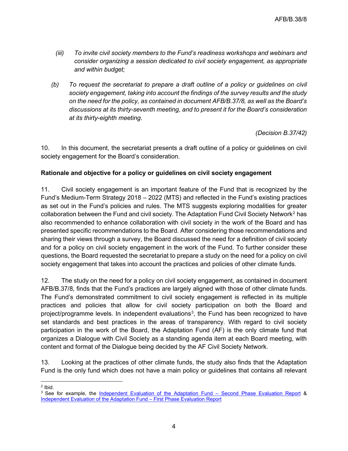- *(iii) To invite civil society members to the Fund's readiness workshops and webinars and consider organizing a session dedicated to civil society engagement, as appropriate and within budget;*
- *(b) To request the secretariat to prepare a draft outline of a policy or guidelines on civil society engagement, taking into account the findings of the survey results and the study on the need for the policy, as contained in document AFB/B.37/8, as well as the Board's discussions at its thirty-seventh meeting, and to present it for the Board's consideration at its thirty-eighth meeting.*

*(Decision B.37/42)*

10. In this document, the secretariat presents a draft outline of a policy or guidelines on civil society engagement for the Board's consideration.

### **Rationale and objective for a policy or guidelines on civil society engagement**

11. Civil society engagement is an important feature of the Fund that is recognized by the Fund's Medium-Term Strategy 2018 – 2022 (MTS) and reflected in the Fund's existing practices as set out in the Fund's policies and rules. The MTS suggests exploring modalities for greater collaboration between the Fund and civil society. The Adaptation Fund Civil Society Network<sup>[2](#page-3-0)</sup> has also recommended to enhance collaboration with civil society in the work of the Board and has presented specific recommendations to the Board. After considering those recommendations and sharing their views through a survey, the Board discussed the need for a definition of civil society and for a policy on civil society engagement in the work of the Fund. To further consider these questions, the Board requested the secretariat to prepare a study on the need for a policy on civil society engagement that takes into account the practices and policies of other climate funds.

12. The study on the need for a policy on civil society engagement, as contained in document AFB/B.37/8, finds that the Fund's practices are largely aligned with those of other climate funds. The Fund's demonstrated commitment to civil society engagement is reflected in its multiple practices and policies that allow for civil society participation on both the Board and project/programme levels. In independent evaluations<sup>[3](#page-3-1)</sup>, the Fund has been recognized to have set standards and best practices in the areas of transparency. With regard to civil society participation in the work of the Board, the Adaptation Fund (AF) is the only climate fund that organizes a Dialogue with Civil Society as a standing agenda item at each Board meeting, with content and format of the Dialogue being decided by the AF Civil Society Network.

13. Looking at the practices of other climate funds, the study also finds that the Adaptation Fund is the only fund which does not have a main policy or guidelines that contains all relevant

<span id="page-3-0"></span><sup>2</sup> Ibid.

<span id="page-3-1"></span><sup>&</sup>lt;sup>3</sup> See for example, the [Independent Evaluation of the Adaptation Fund –](https://www.adaptation-fund.org/document/independent-evaluation-adaptation-fund-second-phase-evaluation-report-final-edited-version/) Second Phase Evaluation Report & [Independent Evaluation of the Adaptation Fund –](https://www.adaptation-fund.org/document/independent-evaluation-of-the-adaptation-fund-first-phase-evaluation-report/) First Phase Evaluation Report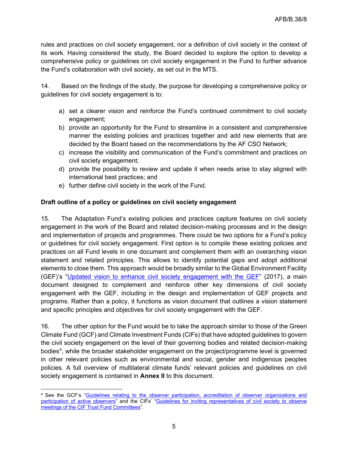rules and practices on civil society engagement, nor a definition of civil society in the context of its work. Having considered the study, the Board decided to explore the option to develop a comprehensive policy or guidelines on civil society engagement in the Fund to further advance the Fund's collaboration with civil society, as set out in the MTS.

14. Based on the findings of the study, the purpose for developing a comprehensive policy or guidelines for civil society engagement is to:

- a) set a clearer vision and reinforce the Fund's continued commitment to civil society engagement;
- b) provide an opportunity for the Fund to streamline in a consistent and comprehensive manner the existing policies and practices together and add new elements that are decided by the Board based on the recommendations by the AF CSO Network;
- c) increase the visibility and communication of the Fund's commitment and practices on civil society engagement;
- d) provide the possibility to review and update it when needs arise to stay aligned with international best practices; and
- e) further define civil society in the work of the Fund.

## **Draft outline of a policy or guidelines on civil society engagement**

15. The Adaptation Fund's existing policies and practices capture features on civil society engagement in the work of the Board and related decision-making processes and in the design and implementation of projects and programmes. There could be two options for a Fund's policy or guidelines for civil society engagement. First option is to compile these existing policies and practices on all Fund levels in one document and complement them with an overarching vision statement and related principles. This allows to identify potential gaps and adopt additional elements to close them. This approach would be broadly similar to the Global Environment Facility (GEF)'s ["Updated vision to enhance civil society engagement with the GEF"](https://www.thegef.org/sites/default/files/council-meeting-documents/EN_GEF.C.53.10.Rev_.01_CSO_Vision_0.pdf) (2017), a main document designed to complement and reinforce other key dimensions of civil society engagement with the GEF, including in the design and implementation of GEF projects and programs. Rather than a policy, it functions as vision document that outlines a vision statement and specific principles and objectives for civil society engagement with the GEF.

16. The other option for the Fund would be to take the approach similar to those of the Green Climate Fund (GCF) and Climate Investment Funds (CIFs) that have adopted guidelines to govern the civil society engagement on the level of their governing bodies and related decision-making bodies<sup>[4](#page-4-0)</sup>, while the broader stakeholder engagement on the project/programme level is governed in other relevant policies such as environmental and social, gender and indigenous peoples policies. A full overview of multilateral climate funds' relevant policies and guidelines on civil society engagement is contained in **Annex II** to this document.

<span id="page-4-0"></span><sup>4</sup> See the GCF's ["Guidelines relating to the observer participation, accreditation of observer organizations and](https://www.greenclimate.fund/document/guidelines-relating-observer-participation-accreditation-observer-organizations-and)  [participation of active observers"](https://www.greenclimate.fund/document/guidelines-relating-observer-participation-accreditation-observer-organizations-and) and the CIFs' "Guidelines for inviting representatives of civil society to observe [meetings of the CIF Trust Fund Committees"](https://www.climateinvestmentfunds.org/sites/cif_enc/files/meeting-documents/guidelines_for_inviting_reps_of_civil_society_to_cif_tfc_meetings_042009_english_0.pdf).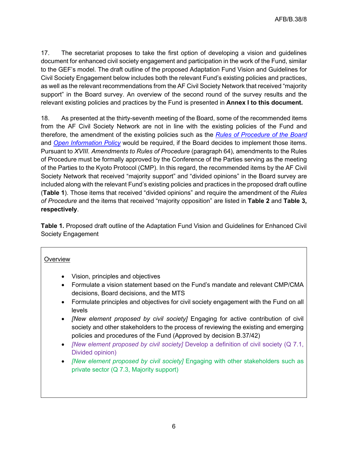17. The secretariat proposes to take the first option of developing a vision and guidelines document for enhanced civil society engagement and participation in the work of the Fund, similar to the GEF's model. The draft outline of the proposed Adaptation Fund Vision and Guidelines for Civil Society Engagement below includes both the relevant Fund's existing policies and practices, as well as the relevant recommendations from the AF Civil Society Network that received "majority support" in the Board survey. An overview of the second round of the survey results and the relevant existing policies and practices by the Fund is presented in **Annex I to this document.**

18. As presented at the thirty-seventh meeting of the Board, some of the recommended items from the AF Civil Society Network are not in line with the existing policies of the Fund and therefore, the amendment of the existing policies such as the *[Rules of Procedure](https://www.adaptation-fund.org/wp-content/uploads/2018/04/Rules-of-procedure-of-the-Adaptation-Fund-Board.pdf) of the Board* and *[Open Information Policy](https://www.adaptation-fund.org/wp-content/uploads/2015/01/Open%20Information%20Policy.pdf)* would be required, if the Board decides to implement those items. Pursuant to *XVIII. Amendments to Rules of Procedure* (paragraph 64), amendments to the Rules of Procedure must be formally approved by the Conference of the Parties serving as the meeting of the Parties to the Kyoto Protocol (CMP). In this regard, the recommended items by the AF Civil Society Network that received "majority support" and "divided opinions" in the Board survey are included along with the relevant Fund's existing policies and practices in the proposed draft outline (**Table 1**). Those items that received "divided opinions" and require the amendment of the *Rules of Procedure* and the items that received "majority opposition" are listed in **Table 2** and **Table 3, respectively**.

**Table 1.** Proposed draft outline of the Adaptation Fund Vision and Guidelines for Enhanced Civil Society Engagement

#### **Overview**

- Vision, principles and objectives
- Formulate a vision statement based on the Fund's mandate and relevant CMP/CMA decisions, Board decisions, and the MTS
- Formulate principles and objectives for civil society engagement with the Fund on all levels
- *[New element proposed by civil society]* Engaging for active contribution of civil society and other stakeholders to the process of reviewing the existing and emerging policies and procedures of the Fund (Approved by decision B.37/42)
- *[New element proposed by civil society]* Develop a definition of civil society (Q 7.1, Divided opinion)
- *[New element proposed by civil society]* Engaging with other stakeholders such as private sector (Q 7.3, Majority support)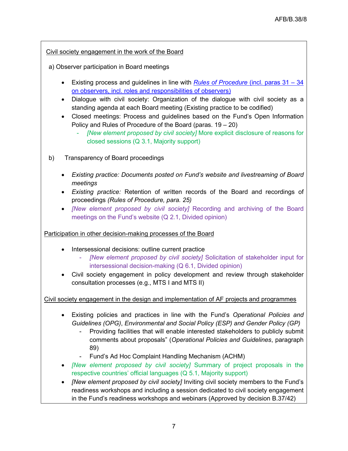Civil society engagement in the work of the Board

a) Observer participation in Board meetings

- Existing process and guidelines in line with *[Rules of Procedure](https://www.adaptation-fund.org/wp-content/uploads/2018/04/Rules-of-procedure-of-the-Adaptation-Fund-Board.pdf)* (incl. paras 31 34 on observers, incl. roles and responsibilities of observers)
- Dialogue with civil society: Organization of the dialogue with civil society as a standing agenda at each Board meeting (Existing practice to be codified)
- Closed meetings: Process and guidelines based on the Fund's Open Information Policy and Rules of Procedure of the Board (paras. 19 – 20)
	- *[New element proposed by civil society]* More explicit disclosure of reasons for closed sessions (Q 3.1, Majority support)
- b) Transparency of Board proceedings
	- *Existing practice: Documents posted on Fund's website and livestreaming of Board meetings*
	- *Existing practice:* Retention of written records of the Board and recordings of proceedings *(Rules of Procedure, para. 25)*
	- *[New element proposed by civil society]* Recording and archiving of the Board meetings on the Fund's website (Q 2.1, Divided opinion)

Participation in other decision-making processes of the Board

- Intersessional decisions: outline current practice
	- *[New element proposed by civil society]* Solicitation of stakeholder input for intersessional decision-making (Q 6.1, Divided opinion)
- Civil society engagement in policy development and review through stakeholder consultation processes (e.g., MTS I and MTS II)

Civil society engagement in the design and implementation of AF projects and programmes

- Existing policies and practices in line with the Fund's *Operational Policies and Guidelines (OPG)*, *Environmental and Social Policy (ESP) and Gender Policy (GP)*
	- Providing facilities that will enable interested stakeholders to publicly submit comments about proposals" (*Operational Policies and Guidelines*, paragraph 89)
	- Fund's Ad Hoc Complaint Handling Mechanism (ACHM)
- *[New element proposed by civil society]* Summary of project proposals in the respective countries' official languages (Q 5.1, Majority support)
- *[New element proposed by civil society]* Inviting civil society members to the Fund's readiness workshops and including a session dedicated to civil society engagement in the Fund's readiness workshops and webinars (Approved by decision B.37/42)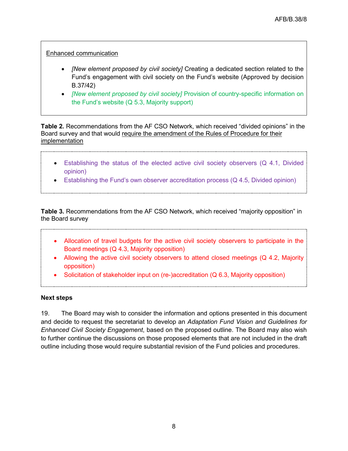### Enhanced communication

- *[New element proposed by civil society]* Creating a dedicated section related to the Fund's engagement with civil society on the Fund's website (Approved by decision B.37/42)
- *[New element proposed by civil society]* Provision of country-specific information on the Fund's website (Q 5.3, Majority support)

**Table 2.** Recommendations from the AF CSO Network, which received "divided opinions" in the Board survey and that would require the amendment of the Rules of Procedure for their implementation

- Establishing the status of the elected active civil society observers (Q 4.1, Divided opinion)
- Establishing the Fund's own observer accreditation process (Q 4.5, Divided opinion)

**Table 3.** Recommendations from the AF CSO Network, which received "majority opposition" in the Board survey

- Allocation of travel budgets for the active civil society observers to participate in the Board meetings (Q 4.3, Majority opposition)
- Allowing the active civil society observers to attend closed meetings (Q 4.2, Majority opposition)
- Solicitation of stakeholder input on (re-)accreditation (Q 6.3, Majority opposition)

#### **Next steps**

19. The Board may wish to consider the information and options presented in this document and decide to request the secretariat to develop an *Adaptation Fund Vision and Guidelines for Enhanced Civil Society Engagement*, based on the proposed outline. The Board may also wish to further continue the discussions on those proposed elements that are not included in the draft outline including those would require substantial revision of the Fund policies and procedures.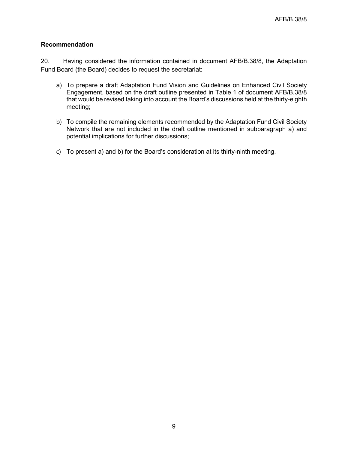#### **Recommendation**

20. Having considered the information contained in document AFB/B.38/8, the Adaptation Fund Board (the Board) decides to request the secretariat:

- a) To prepare a draft Adaptation Fund Vision and Guidelines on Enhanced Civil Society Engagement, based on the draft outline presented in Table 1 of document AFB/B.38/8 that would be revised taking into account the Board's discussions held at the thirty-eighth meeting;
- b) To compile the remaining elements recommended by the Adaptation Fund Civil Society Network that are not included in the draft outline mentioned in subparagraph a) and potential implications for further discussions;
- c) To present a) and b) for the Board's consideration at its thirty-ninth meeting.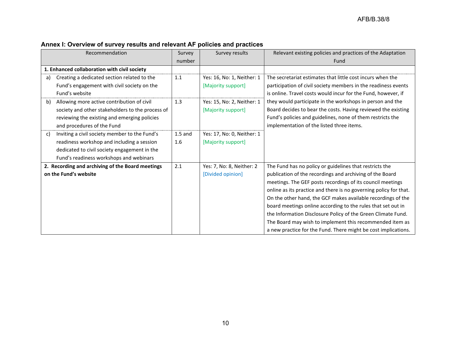| Recommendation                                                                                                                                                                               | Survey           | Survey results                                   | Relevant existing policies and practices of the Adaptation                                                                                                                                                                                                                                                                                                                                                                                                                                                                                                                           |
|----------------------------------------------------------------------------------------------------------------------------------------------------------------------------------------------|------------------|--------------------------------------------------|--------------------------------------------------------------------------------------------------------------------------------------------------------------------------------------------------------------------------------------------------------------------------------------------------------------------------------------------------------------------------------------------------------------------------------------------------------------------------------------------------------------------------------------------------------------------------------------|
|                                                                                                                                                                                              | number           |                                                  | Fund                                                                                                                                                                                                                                                                                                                                                                                                                                                                                                                                                                                 |
| 1. Enhanced collaboration with civil society                                                                                                                                                 |                  |                                                  |                                                                                                                                                                                                                                                                                                                                                                                                                                                                                                                                                                                      |
| Creating a dedicated section related to the<br>a)<br>Fund's engagement with civil society on the<br>Fund's website                                                                           | 1.1              | Yes: 16, No: 1, Neither: 1<br>[Majority support] | The secretariat estimates that little cost incurs when the<br>participation of civil society members in the readiness events<br>is online. Travel costs would incur for the Fund, however, if                                                                                                                                                                                                                                                                                                                                                                                        |
| Allowing more active contribution of civil<br>b)<br>society and other stakeholders to the process of<br>reviewing the existing and emerging policies<br>and procedures of the Fund           | 1.3              | Yes: 15, No: 2, Neither: 1<br>[Majority support] | they would participate in the workshops in person and the<br>Board decides to bear the costs. Having reviewed the existing<br>Fund's policies and guidelines, none of them restricts the<br>implementation of the listed three items.                                                                                                                                                                                                                                                                                                                                                |
| Inviting a civil society member to the Fund's<br>C)<br>readiness workshop and including a session<br>dedicated to civil society engagement in the<br>Fund's readiness workshops and webinars | $1.5$ and<br>1.6 | Yes: 17, No: 0, Neither: 1<br>[Majority support] |                                                                                                                                                                                                                                                                                                                                                                                                                                                                                                                                                                                      |
| 2. Recording and archiving of the Board meetings<br>on the Fund's website                                                                                                                    | 2.1              | Yes: 7, No: 8, Neither: 2<br>[Divided opinion]   | The Fund has no policy or guidelines that restricts the<br>publication of the recordings and archiving of the Board<br>meetings. The GEF posts recordings of its council meetings<br>online as its practice and there is no governing policy for that.<br>On the other hand, the GCF makes available recordings of the<br>board meetings online according to the rules that set out in<br>the Information Disclosure Policy of the Green Climate Fund.<br>The Board may wish to implement this recommended item as<br>a new practice for the Fund. There might be cost implications. |

# **Annex I: Overview of survey results and relevant AF policies and practices**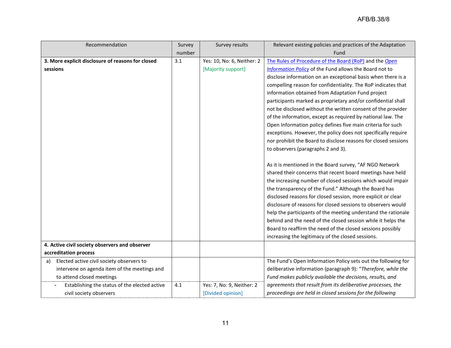| Recommendation                                    | Survey | Survey results             | Relevant existing policies and practices of the Adaptation     |  |
|---------------------------------------------------|--------|----------------------------|----------------------------------------------------------------|--|
|                                                   | number |                            | Fund                                                           |  |
| 3. More explicit disclosure of reasons for closed | 3.1    | Yes: 10, No: 6, Neither: 2 | The Rules of Procedure of the Board (RoP) and the Open         |  |
| sessions                                          |        | [Majority support]         | Information Policy of the Fund allows the Board not to         |  |
|                                                   |        |                            | disclose information on an exceptional basis when there is a   |  |
|                                                   |        |                            | compelling reason for confidentiality. The RoP indicates that  |  |
|                                                   |        |                            | information obtained from Adaptation Fund project              |  |
|                                                   |        |                            | participants marked as proprietary and/or confidential shall   |  |
|                                                   |        |                            | not be disclosed without the written consent of the provider   |  |
|                                                   |        |                            | of the information, except as required by national law. The    |  |
|                                                   |        |                            | Open Information policy defines five main criteria for such    |  |
|                                                   |        |                            | exceptions. However, the policy does not specifically require  |  |
|                                                   |        |                            | nor prohibit the Board to disclose reasons for closed sessions |  |
|                                                   |        |                            | to observers (paragraphs 2 and 3).                             |  |
|                                                   |        |                            |                                                                |  |
|                                                   |        |                            | As it is mentioned in the Board survey, "AF NGO Network        |  |
|                                                   |        |                            | shared their concerns that recent board meetings have held     |  |
|                                                   |        |                            | the increasing number of closed sessions which would impair    |  |
|                                                   |        |                            | the transparency of the Fund." Although the Board has          |  |
|                                                   |        |                            | disclosed reasons for closed session, more explicit or clear   |  |
|                                                   |        |                            | disclosure of reasons for closed sessions to observers would   |  |
|                                                   |        |                            | help the participants of the meeting understand the rationale  |  |
|                                                   |        |                            | behind and the need of the closed session while it helps the   |  |
|                                                   |        |                            | Board to reaffirm the need of the closed sessions possibly     |  |
|                                                   |        |                            | increasing the legitimacy of the closed sessions.              |  |
| 4. Active civil society observers and observer    |        |                            |                                                                |  |
| accreditation process                             |        |                            |                                                                |  |
| Elected active civil society observers to<br>a)   |        |                            | The Fund's Open Information Policy sets out the following for  |  |
| intervene on agenda item of the meetings and      |        |                            | deliberative information (paragraph 9): "Therefore, while the  |  |
| to attend closed meetings                         |        |                            | Fund makes publicly available the decisions, results, and      |  |
| Establishing the status of the elected active     | 4.1    | Yes: 7, No: 9, Neither: 2  | agreements that result from its deliberative processes, the    |  |
| civil society observers                           |        | [Divided opinion]          | proceedings are held in closed sessions for the following      |  |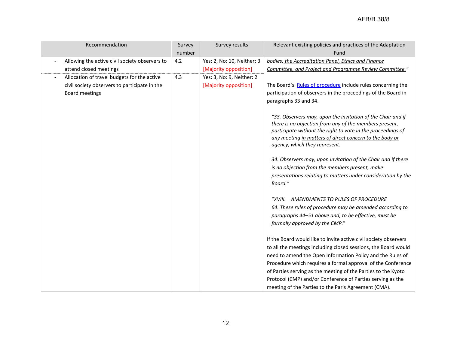| Recommendation                                 | Survey | Survey results             | Relevant existing policies and practices of the Adaptation                                                             |
|------------------------------------------------|--------|----------------------------|------------------------------------------------------------------------------------------------------------------------|
|                                                | number |                            | Fund                                                                                                                   |
| Allowing the active civil society observers to | 4.2    | Yes: 2, No: 10, Neither: 3 | bodies: the Accreditation Panel, Ethics and Finance                                                                    |
| attend closed meetings                         |        | [Majority opposition]      | Committee, and Project and Programme Review Committee."                                                                |
| Allocation of travel budgets for the active    | 4.3    | Yes: 3, No: 9, Neither: 2  |                                                                                                                        |
| civil society observers to participate in the  |        | [Majority opposition]      | The Board's Rules of procedure include rules concerning the                                                            |
| Board meetings                                 |        |                            | participation of observers in the proceedings of the Board in                                                          |
|                                                |        |                            | paragraphs 33 and 34.                                                                                                  |
|                                                |        |                            |                                                                                                                        |
|                                                |        |                            | "33. Observers may, upon the invitation of the Chair and if                                                            |
|                                                |        |                            | there is no objection from any of the members present,                                                                 |
|                                                |        |                            | participate without the right to vote in the proceedings of<br>any meeting in matters of direct concern to the body or |
|                                                |        |                            | agency, which they represent.                                                                                          |
|                                                |        |                            |                                                                                                                        |
|                                                |        |                            | 34. Observers may, upon invitation of the Chair and if there                                                           |
|                                                |        |                            | is no objection from the members present, make                                                                         |
|                                                |        |                            | presentations relating to matters under consideration by the                                                           |
|                                                |        |                            | Board."                                                                                                                |
|                                                |        |                            |                                                                                                                        |
|                                                |        |                            | "XVIII. AMENDMENTS TO RULES OF PROCEDURE                                                                               |
|                                                |        |                            | 64. These rules of procedure may be amended according to                                                               |
|                                                |        |                            | paragraphs 44-51 above and, to be effective, must be                                                                   |
|                                                |        |                            | formally approved by the CMP."                                                                                         |
|                                                |        |                            |                                                                                                                        |
|                                                |        |                            | If the Board would like to invite active civil society observers                                                       |
|                                                |        |                            | to all the meetings including closed sessions, the Board would                                                         |
|                                                |        |                            | need to amend the Open Information Policy and the Rules of                                                             |
|                                                |        |                            | Procedure which requires a formal approval of the Conference                                                           |
|                                                |        |                            | of Parties serving as the meeting of the Parties to the Kyoto                                                          |
|                                                |        |                            | Protocol (CMP) and/or Conference of Parties serving as the                                                             |
|                                                |        |                            | meeting of the Parties to the Paris Agreement (CMA).                                                                   |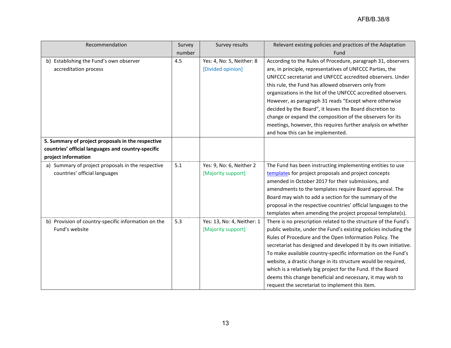| Recommendation                                      | Survey | Survey results             | Relevant existing policies and practices of the Adaptation       |
|-----------------------------------------------------|--------|----------------------------|------------------------------------------------------------------|
|                                                     | number |                            | Fund                                                             |
| b) Establishing the Fund's own observer             | 4.5    | Yes: 4, No: 5, Neither: 8  | According to the Rules of Procedure, paragraph 31, observers     |
| accreditation process                               |        | [Divided opinion]          | are, in principle, representatives of UNFCCC Parties, the        |
|                                                     |        |                            | UNFCCC secretariat and UNFCCC accredited observers. Under        |
|                                                     |        |                            | this rule, the Fund has allowed observers only from              |
|                                                     |        |                            | organizations in the list of the UNFCCC accredited observers.    |
|                                                     |        |                            | However, as paragraph 31 reads "Except where otherwise           |
|                                                     |        |                            | decided by the Board", it leaves the Board discretion to         |
|                                                     |        |                            | change or expand the composition of the observers for its        |
|                                                     |        |                            | meetings, however, this requires further analysis on whether     |
|                                                     |        |                            | and how this can be implemented.                                 |
| 5. Summary of project proposals in the respective   |        |                            |                                                                  |
| countries' official languages and country-specific  |        |                            |                                                                  |
| project information                                 |        |                            |                                                                  |
| a) Summary of project proposals in the respective   | 5.1    | Yes: 9, No: 6, Neither 2   | The Fund has been instructing implementing entities to use       |
| countries' official languages                       |        | [Majority support]         | templates for project proposals and project concepts             |
|                                                     |        |                            | amended in October 2017 for their submissions, and               |
|                                                     |        |                            | amendments to the templates require Board approval. The          |
|                                                     |        |                            | Board may wish to add a section for the summary of the           |
|                                                     |        |                            | proposal in the respective countries' official languages to the  |
|                                                     |        |                            | templates when amending the project proposal template(s).        |
| b) Provision of country-specific information on the | 5.3    | Yes: 13, No: 4, Neither: 1 | There is no prescription related to the structure of the Fund's  |
| Fund's website                                      |        | [Majority support]         | public website, under the Fund's existing policies including the |
|                                                     |        |                            | Rules of Procedure and the Open Information Policy. The          |
|                                                     |        |                            | secretariat has designed and developed it by its own initiative. |
|                                                     |        |                            | To make available country-specific information on the Fund's     |
|                                                     |        |                            | website, a drastic change in its structure would be required,    |
|                                                     |        |                            | which is a relatively big project for the Fund. If the Board     |
|                                                     |        |                            | deems this change beneficial and necessary, it may wish to       |
|                                                     |        |                            | request the secretariat to implement this item.                  |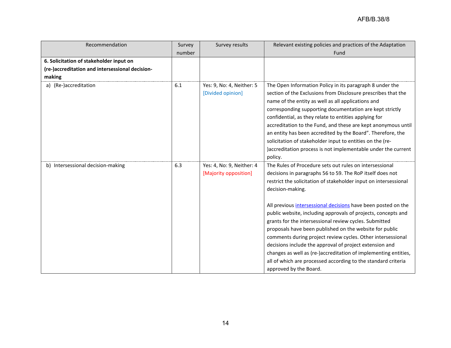| Recommendation                                  | Survey | Survey results                                     | Relevant existing policies and practices of the Adaptation                                                                                                                                                                                                                                                                                                                                                                                                                                                                                                                                                                                                                                                                                                  |
|-------------------------------------------------|--------|----------------------------------------------------|-------------------------------------------------------------------------------------------------------------------------------------------------------------------------------------------------------------------------------------------------------------------------------------------------------------------------------------------------------------------------------------------------------------------------------------------------------------------------------------------------------------------------------------------------------------------------------------------------------------------------------------------------------------------------------------------------------------------------------------------------------------|
|                                                 | number |                                                    | Fund                                                                                                                                                                                                                                                                                                                                                                                                                                                                                                                                                                                                                                                                                                                                                        |
| 6. Solicitation of stakeholder input on         |        |                                                    |                                                                                                                                                                                                                                                                                                                                                                                                                                                                                                                                                                                                                                                                                                                                                             |
| (re-)accreditation and intersessional decision- |        |                                                    |                                                                                                                                                                                                                                                                                                                                                                                                                                                                                                                                                                                                                                                                                                                                                             |
| making                                          |        |                                                    |                                                                                                                                                                                                                                                                                                                                                                                                                                                                                                                                                                                                                                                                                                                                                             |
| a) (Re-)accreditation                           | 6.1    | Yes: 9, No: 4, Neither: 5<br>[Divided opinion]     | The Open Information Policy in its paragraph 8 under the<br>section of the Exclusions from Disclosure prescribes that the<br>name of the entity as well as all applications and<br>corresponding supporting documentation are kept strictly<br>confidential, as they relate to entities applying for<br>accreditation to the Fund, and these are kept anonymous until<br>an entity has been accredited by the Board". Therefore, the<br>solicitation of stakeholder input to entities on the (re-<br>)accreditation process is not implementable under the current<br>policy.                                                                                                                                                                               |
| b) Intersessional decision-making               | 6.3    | Yes: 4, No: 9, Neither: 4<br>[Majority opposition] | The Rules of Procedure sets out rules on intersessional<br>decisions in paragraphs 56 to 59. The RoP itself does not<br>restrict the solicitation of stakeholder input on intersessional<br>decision-making.<br>All previous intersessional decisions have been posted on the<br>public website, including approvals of projects, concepts and<br>grants for the intersessional review cycles. Submitted<br>proposals have been published on the website for public<br>comments during project review cycles. Other intersessional<br>decisions include the approval of project extension and<br>changes as well as (re-)accreditation of implementing entities,<br>all of which are processed according to the standard criteria<br>approved by the Board. |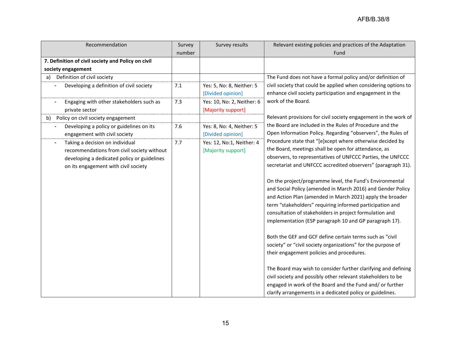| Recommendation                                     | Survey | Survey results             | Relevant existing policies and practices of the Adaptation      |
|----------------------------------------------------|--------|----------------------------|-----------------------------------------------------------------|
|                                                    | number |                            | Fund                                                            |
| 7. Definition of civil society and Policy on civil |        |                            |                                                                 |
| society engagement                                 |        |                            |                                                                 |
| Definition of civil society<br>a)                  |        |                            | The Fund does not have a formal policy and/or definition of     |
| Developing a definition of civil society           | 7.1    | Yes: 5, No: 8, Neither: 5  | civil society that could be applied when considering options to |
|                                                    |        | [Divided opinion]          | enhance civil society participation and engagement in the       |
| Engaging with other stakeholders such as           | 7.3    | Yes: 10, No: 2, Neither: 6 | work of the Board.                                              |
| private sector                                     |        | [Majority support]         |                                                                 |
| b) Policy on civil society engagement              |        |                            | Relevant provisions for civil society engagement in the work of |
| Developing a policy or guidelines on its           | 7.6    | Yes: 8, No: 4, Neither: 5  | the Board are included in the Rules of Procedure and the        |
| engagement with civil society                      |        | [Divided opinion]          | Open Information Policy. Regarding "observers", the Rules of    |
| Taking a decision on individual                    | 7.7    | Yes: 12, No:1, Neither: 4  | Procedure state that "[e]xcept where otherwise decided by       |
| recommendations from civil society without         |        | [Majority support]         | the Board, meetings shall be open for attendance, as            |
| developing a dedicated policy or guidelines        |        |                            | observers, to representatives of UNFCCC Parties, the UNFCCC     |
| on its engagement with civil society               |        |                            | secretariat and UNFCCC accredited observers" (paragraph 31).    |
|                                                    |        |                            |                                                                 |
|                                                    |        |                            | On the project/programme level, the Fund's Environmental        |
|                                                    |        |                            | and Social Policy (amended in March 2016) and Gender Policy     |
|                                                    |        |                            | and Action Plan (amended in March 2021) apply the broader       |
|                                                    |        |                            | term "stakeholders" requiring informed participation and        |
|                                                    |        |                            | consultation of stakeholders in project formulation and         |
|                                                    |        |                            | implementation (ESP paragraph 10 and GP paragraph 17).          |
|                                                    |        |                            |                                                                 |
|                                                    |        |                            | Both the GEF and GCF define certain terms such as "civil        |
|                                                    |        |                            | society" or "civil society organizations" for the purpose of    |
|                                                    |        |                            | their engagement policies and procedures.                       |
|                                                    |        |                            |                                                                 |
|                                                    |        |                            | The Board may wish to consider further clarifying and defining  |
|                                                    |        |                            | civil society and possibly other relevant stakeholders to be    |
|                                                    |        |                            | engaged in work of the Board and the Fund and/ or further       |
|                                                    |        |                            | clarify arrangements in a dedicated policy or guidelines.       |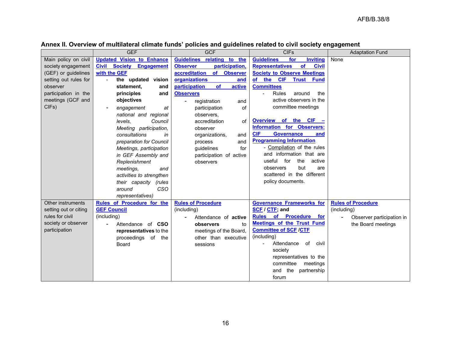|                       | <b>GEF</b>                           | <b>GCF</b>                           | <b>CIFs</b>                                         | <b>Adaptation Fund</b>    |
|-----------------------|--------------------------------------|--------------------------------------|-----------------------------------------------------|---------------------------|
| Main policy on civil  | <b>Updated Vision to Enhance</b>     | Guidelines relating to the           | <b>Guidelines</b><br>for<br><b>Inviting</b>         | None                      |
| society engagement    | <b>Civil Society Engagement</b>      | participation,<br><b>Observer</b>    | <b>Representatives</b><br><b>of</b><br><b>Civil</b> |                           |
| (GEF) or guidelines   | with the GEF                         | of Observer<br>accreditation         | <b>Society to Observe Meetings</b>                  |                           |
| setting out rules for | the updated vision<br>$\overline{a}$ | organizations<br>and                 | the CIF Trust Fund<br><b>of</b>                     |                           |
| observer              | statement.<br>and                    | participation<br><b>of</b><br>active | <b>Committees</b>                                   |                           |
| participation in the  | principles<br>and                    | <b>Observers</b>                     | <b>Rules</b><br>around<br>the                       |                           |
| meetings (GCF and     | objectives                           | registration<br>and                  | active observers in the                             |                           |
| CIFs)                 | engagement<br>at                     | of<br>participation                  | committee meetings                                  |                           |
|                       | national and regional                | observers,                           |                                                     |                           |
|                       | levels.<br>Council                   | accreditation<br>of                  | Overview of the CIF -                               |                           |
|                       | Meeting participation,               | observer                             | <b>Information for Observers:</b>                   |                           |
|                       | consultations<br>in                  | organizations,<br>and                | <b>CIF</b><br><b>Governance</b><br>and              |                           |
|                       | preparation for Council              | and<br>process                       | <b>Programming Information</b>                      |                           |
|                       | Meetings, participation              | guidelines<br>for                    | - Compilation of the rules                          |                           |
|                       | in GEF Assembly and                  | participation of active              | and information that are                            |                           |
|                       | Replenishment                        | observers                            | useful<br>for<br>the<br>active                      |                           |
|                       | meetings,<br>and                     |                                      | but<br>observers<br>are                             |                           |
|                       | activities to strengthen             |                                      | scattered in the different                          |                           |
|                       | their capacity (rules                |                                      | policy documents.                                   |                           |
|                       | CSO<br>around                        |                                      |                                                     |                           |
|                       | representatives)                     |                                      |                                                     |                           |
| Other instruments     | Rules of Procedure for the           | <b>Rules of Procedure</b>            | <b>Governance Frameworks for</b>                    | <b>Rules of Procedure</b> |
| setting out or citing | <b>GEF Council</b>                   | (including)                          | SCF / CTF; and                                      | (including)               |
| rules for civil       | (including)                          | Attendance of <b>active</b>          | Rules of Procedure for                              | Observer participation in |
| society or observer   | Attendance of CSO                    | observers<br>to                      | <b>Meetings of the Trust Fund</b>                   | the Board meetings        |
| participation         | representatives to the               | meetings of the Board,               | <b>Committee of SCF /CTF</b>                        |                           |
|                       | proceedings of the                   | other than executive                 | (including)                                         |                           |
|                       | <b>Board</b>                         | sessions                             | Attendance<br>of<br>civil                           |                           |
|                       |                                      |                                      | society                                             |                           |
|                       |                                      |                                      | representatives to the                              |                           |
|                       |                                      |                                      | committee<br>meetings                               |                           |
|                       |                                      |                                      | and the<br>partnership                              |                           |
|                       |                                      |                                      | forum                                               |                           |

# **Annex II. Overview of multilateral climate funds' policies and guidelines related to civil society engagement**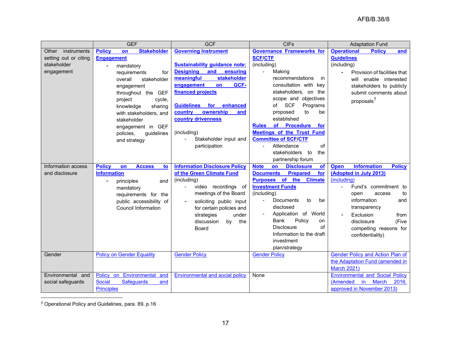<span id="page-16-0"></span>

|                       | <b>GEF</b>                                 | <b>GCF</b>                             | <b>CIFs</b>                                         | <b>Adaptation Fund</b>                             |  |
|-----------------------|--------------------------------------------|----------------------------------------|-----------------------------------------------------|----------------------------------------------------|--|
| instruments<br>Other  | <b>Policy</b><br><b>Stakeholder</b><br>on  | <b>Governing Instrument</b>            | <b>Governance Frameworks for</b>                    | <b>Operational</b><br><b>Policy</b><br>and         |  |
| setting out or citing | <b>Engagement</b>                          |                                        | <b>SCF/CTF</b>                                      | <b>Guidelines</b>                                  |  |
| stakeholder           | mandatory<br>$\blacksquare$                | <b>Sustainability guidance note:</b>   | (including)                                         | (including)                                        |  |
| engagement            | requirements<br>for                        | <b>Designing</b><br>and<br>ensuring    | Making<br>$\blacksquare$                            | Provision of facilities that                       |  |
|                       | overall<br>stakeholder                     | stakeholder<br>meaningful              | recommendations<br>in                               | will enable interested                             |  |
|                       | engagement                                 | GCF-<br>engagement<br>on               | consultation with key                               | stakeholders to publicly                           |  |
|                       | throughout the GEF                         | financed projects                      | stakeholders, on the                                | submit comments about                              |  |
|                       | project<br>cycle,                          |                                        | scope and objectives                                | proposals $^5$                                     |  |
|                       | knowledge<br>sharing                       | <b>Guidelines</b><br>for<br>enhanced   | <b>SCF</b><br>Programs<br>of                        |                                                    |  |
|                       | with stakeholders, and                     | ownership<br>country<br>and            | to<br>proposed<br>be                                |                                                    |  |
|                       | stakeholder                                | country drivenness                     | established                                         |                                                    |  |
|                       | engagement in GEF                          |                                        | of Procedure<br><b>Rules</b><br>for                 |                                                    |  |
|                       | policies,<br>guidelines                    | (including)                            | <b>Meetings of the Trust Fund</b>                   |                                                    |  |
|                       | and strategy                               | Stakeholder input and                  | <b>Committee of SCF/CTF</b>                         |                                                    |  |
|                       |                                            | participation                          | Attendance<br>of                                    |                                                    |  |
|                       |                                            |                                        | stakeholders to<br>the                              |                                                    |  |
|                       |                                            |                                        | partnership forum                                   |                                                    |  |
| Information access    | <b>Policy</b><br><b>Access</b><br>on<br>to | <b>Information Disclosure Policy</b>   | <b>Disclosure</b><br><b>Note</b><br>on<br><b>of</b> | <b>Information</b><br><b>Policy</b><br><b>Open</b> |  |
| and disclosure        | <b>Information</b>                         | of the Green Climate Fund              | <b>Documents</b><br>for<br><b>Prepared</b>          | (Adopted in July 2013)                             |  |
|                       | principles<br>and                          | (including)                            | Purposes of the<br><b>Climate</b>                   | (including)                                        |  |
|                       | mandatory                                  | video recordings of<br>$\blacksquare$  | <b>Investment Funds</b>                             | Fund's commitment to<br>$\overline{a}$             |  |
|                       | requirements for the                       | meetings of the Board                  | (including)                                         | to<br>open<br>access                               |  |
|                       | public accessibility of                    | soliciting public input                | <b>Documents</b><br>to<br>be<br>$\blacksquare$      | information<br>and                                 |  |
|                       | <b>Council Information</b>                 | for certain policies and               | disclosed                                           | transparency                                       |  |
|                       |                                            | under<br>strategies                    | Application of World                                | Exclusion<br>from                                  |  |
|                       |                                            | discussion<br>by<br>the                | Policy<br>Bank<br>on                                | disclosure<br>(Five                                |  |
|                       |                                            | Board                                  | <b>Disclosure</b><br>of                             | compelling reasons for                             |  |
|                       |                                            |                                        | Information to the draft                            | confidentiality)                                   |  |
|                       |                                            |                                        | investment                                          |                                                    |  |
|                       |                                            |                                        | plan/strategy                                       |                                                    |  |
| Gender                | <b>Policy on Gender Equality</b>           | <b>Gender Policy</b>                   | <b>Gender Policy</b>                                | <b>Gender Policy and Action Plan of</b>            |  |
|                       |                                            |                                        |                                                     | the Adaptation Fund (amended in                    |  |
|                       |                                            |                                        |                                                     | <b>March 2021)</b>                                 |  |
| Environmental and     | Policy on Environmental<br>and             | <b>Environmental and social policy</b> | None                                                | <b>Environmental and Social Policy</b>             |  |
| social safeguards     | <b>Safeguards</b><br><b>Social</b><br>and  |                                        |                                                     | (Amended<br>in.<br><b>March</b><br>2016.           |  |
|                       | <b>Principles</b>                          |                                        |                                                     | approved in November 2013)                         |  |

<sup>5</sup> Operational Policy and Guidelines, para. 89, p.16